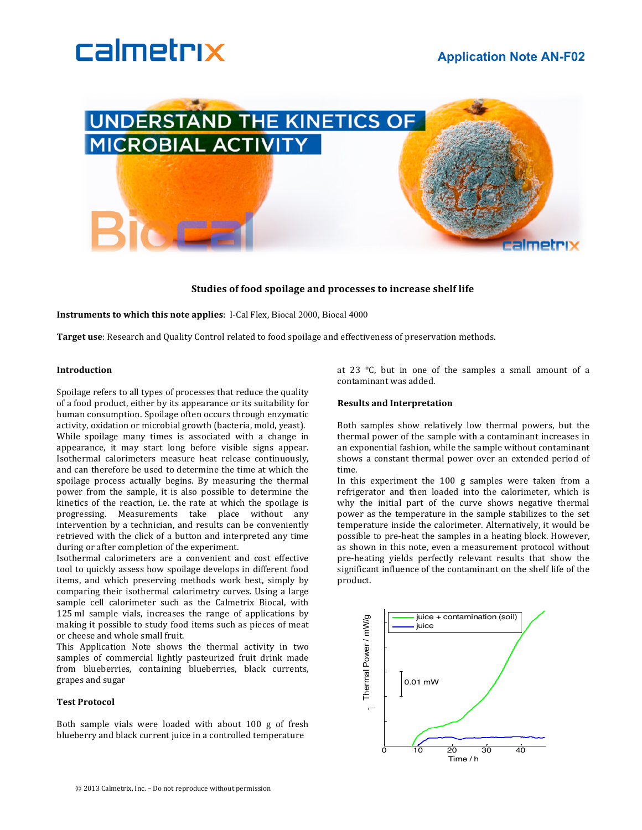



# Studies of food spoilage and processes to increase shelf life

**Instruments to which this note applies**: I-Cal Flex, Biocal 2000, Biocal 4000

**Target use**: Research and Quality Control related to food spoilage and effectiveness of preservation methods.

#### **Introduction**

Spoilage refers to all types of processes that reduce the quality of a food product, either by its appearance or its suitability for human consumption. Spoilage often occurs through enzymatic activity, oxidation or microbial growth (bacteria, mold, yeast). While spoilage many times is associated with a change in appearance, it may start long before visible signs appear. Isothermal calorimeters measure heat release continuously, and can therefore be used to determine the time at which the spoilage process actually begins. By measuring the thermal power from the sample, it is also possible to determine the kinetics of the reaction, i.e. the rate at which the spoilage is progressing. Measurements take place without any intervention by a technician, and results can be conveniently retrieved with the click of a button and interpreted any time during or after completion of the experiment.

Isothermal calorimeters are a convenient and cost effective tool to quickly assess how spoilage develops in different food items, and which preserving methods work best, simply by comparing their isothermal calorimetry curves. Using a large sample cell calorimeter such as the Calmetrix Biocal, with 125 ml sample vials, increases the range of applications by making it possible to study food items such as pieces of meat or cheese and whole small fruit.

This Application Note shows the thermal activity in two samples of commercial lightly pasteurized fruit drink made from blueberries, containing blueberries, black currents, grapes and sugar

### **Test!Protocol**

Both sample vials were loaded with about 100 g of fresh blueberry and black current juice in a controlled temperature

at 23  $\degree$ C, but in one of the samples a small amount of a contaminant was added.

#### **Results and!Interpretation**

Both samples show relatively low thermal powers, but the thermal power of the sample with a contaminant increases in an exponential fashion, while the sample without contaminant shows a constant thermal power over an extended period of time.

In this experiment the  $100 \text{ g}$  samples were taken from a refrigerator and then loaded into the calorimeter, which is why the initial part of the curve shows negative thermal power as the temperature in the sample stabilizes to the set temperature inside the calorimeter. Alternatively, it would be possible to pre-heat the samples in a heating block. However, as shown in this note, even a measurement protocol without pre-heating yields perfectly relevant results that show the significant influence of the contaminant on the shelf life of the product.